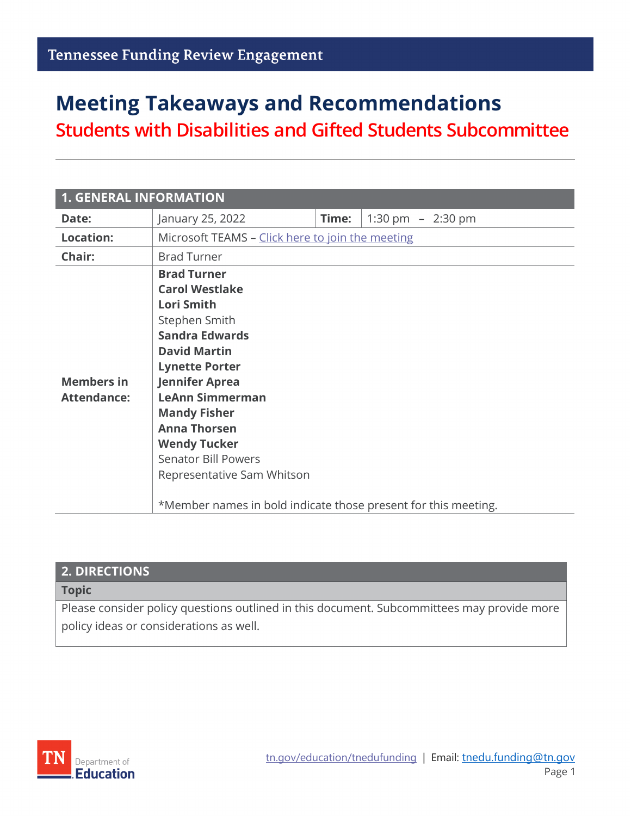# **Meeting Takeaways and Recommendations**

**Students with Disabilities and Gifted Students Subcommittee**

| <b>1. GENERAL INFORMATION</b>           |                                                                                                                                                                                                                                                                                                                                                                                                                  |       |                     |  |
|-----------------------------------------|------------------------------------------------------------------------------------------------------------------------------------------------------------------------------------------------------------------------------------------------------------------------------------------------------------------------------------------------------------------------------------------------------------------|-------|---------------------|--|
| Date:                                   | January 25, 2022                                                                                                                                                                                                                                                                                                                                                                                                 | Time: | 1:30 pm $-$ 2:30 pm |  |
| <b>Location:</b>                        | Microsoft TEAMS - Click here to join the meeting                                                                                                                                                                                                                                                                                                                                                                 |       |                     |  |
| Chair:                                  | <b>Brad Turner</b>                                                                                                                                                                                                                                                                                                                                                                                               |       |                     |  |
| <b>Members in</b><br><b>Attendance:</b> | <b>Brad Turner</b><br><b>Carol Westlake</b><br><b>Lori Smith</b><br>Stephen Smith<br><b>Sandra Edwards</b><br><b>David Martin</b><br><b>Lynette Porter</b><br><b>Jennifer Aprea</b><br><b>LeAnn Simmerman</b><br><b>Mandy Fisher</b><br><b>Anna Thorsen</b><br><b>Wendy Tucker</b><br><b>Senator Bill Powers</b><br>Representative Sam Whitson<br>*Member names in bold indicate those present for this meeting. |       |                     |  |

#### **2. DIRECTIONS**

#### **Topic**

Please consider policy questions outlined in this document. Subcommittees may provide more policy ideas or considerations as well.

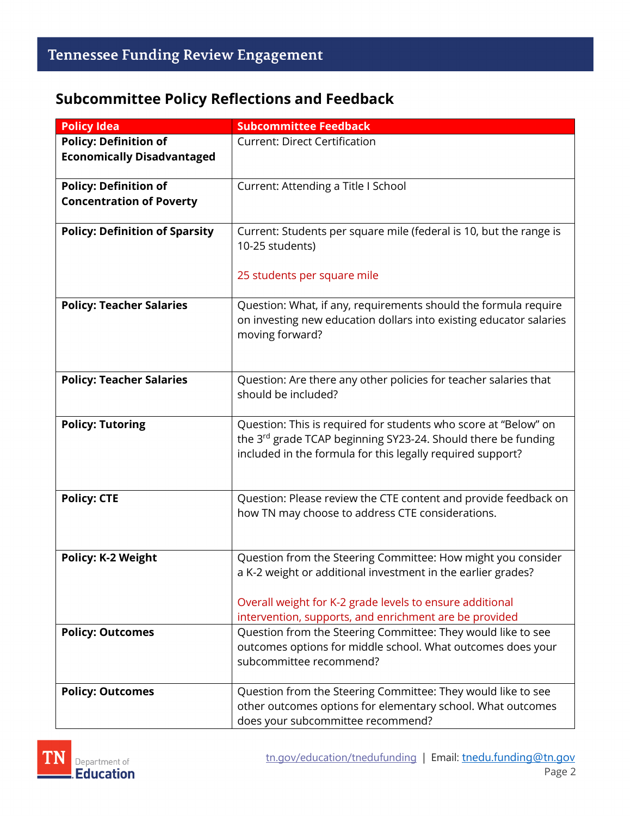#### **Subcommittee Policy Reflections and Feedback**

| <b>Subcommittee Feedback</b>                                       |
|--------------------------------------------------------------------|
| <b>Current: Direct Certification</b>                               |
|                                                                    |
|                                                                    |
| Current: Attending a Title I School                                |
|                                                                    |
|                                                                    |
| Current: Students per square mile (federal is 10, but the range is |
| 10-25 students)                                                    |
|                                                                    |
| 25 students per square mile                                        |
|                                                                    |
| Question: What, if any, requirements should the formula require    |
| on investing new education dollars into existing educator salaries |
| moving forward?                                                    |
|                                                                    |
|                                                                    |
| Question: Are there any other policies for teacher salaries that   |
| should be included?                                                |
|                                                                    |
| Question: This is required for students who score at "Below" on    |
| the 3rd grade TCAP beginning SY23-24. Should there be funding      |
| included in the formula for this legally required support?         |
|                                                                    |
|                                                                    |
| Question: Please review the CTE content and provide feedback on    |
| how TN may choose to address CTE considerations.                   |
|                                                                    |
|                                                                    |
| Question from the Steering Committee: How might you consider       |
| a K-2 weight or additional investment in the earlier grades?       |
|                                                                    |
| Overall weight for K-2 grade levels to ensure additional           |
| intervention, supports, and enrichment are be provided             |
| Question from the Steering Committee: They would like to see       |
| outcomes options for middle school. What outcomes does your        |
| subcommittee recommend?                                            |
| Question from the Steering Committee: They would like to see       |
| other outcomes options for elementary school. What outcomes        |
| does your subcommittee recommend?                                  |
|                                                                    |

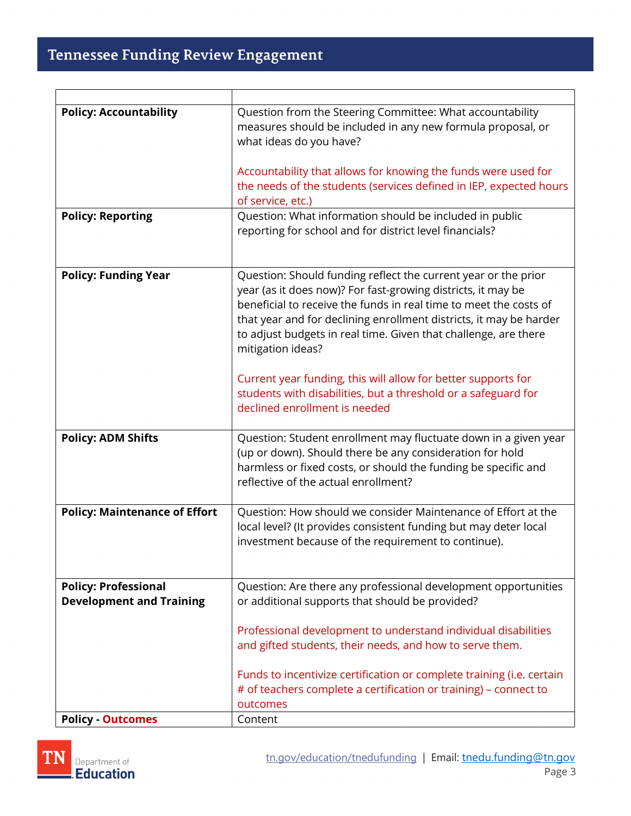## **Tennessee Funding Review Engagement**

r

| <b>Policy: Accountability</b>                                  | Question from the Steering Committee: What accountability<br>measures should be included in any new formula proposal, or<br>what ideas do you have?                                                                                                                                                                                                                                                                                                                                                                                   |
|----------------------------------------------------------------|---------------------------------------------------------------------------------------------------------------------------------------------------------------------------------------------------------------------------------------------------------------------------------------------------------------------------------------------------------------------------------------------------------------------------------------------------------------------------------------------------------------------------------------|
|                                                                | Accountability that allows for knowing the funds were used for<br>the needs of the students (services defined in IEP, expected hours<br>of service, etc.)                                                                                                                                                                                                                                                                                                                                                                             |
| <b>Policy: Reporting</b>                                       | Question: What information should be included in public<br>reporting for school and for district level financials?                                                                                                                                                                                                                                                                                                                                                                                                                    |
| <b>Policy: Funding Year</b>                                    | Question: Should funding reflect the current year or the prior<br>year (as it does now)? For fast-growing districts, it may be<br>beneficial to receive the funds in real time to meet the costs of<br>that year and for declining enrollment districts, it may be harder<br>to adjust budgets in real time. Given that challenge, are there<br>mitigation ideas?<br>Current year funding, this will allow for better supports for<br>students with disabilities, but a threshold or a safeguard for<br>declined enrollment is needed |
|                                                                |                                                                                                                                                                                                                                                                                                                                                                                                                                                                                                                                       |
| <b>Policy: ADM Shifts</b>                                      | Question: Student enrollment may fluctuate down in a given year<br>(up or down). Should there be any consideration for hold<br>harmless or fixed costs, or should the funding be specific and<br>reflective of the actual enrollment?                                                                                                                                                                                                                                                                                                 |
| <b>Policy: Maintenance of Effort</b>                           | Question: How should we consider Maintenance of Effort at the<br>local level? (It provides consistent funding but may deter local<br>investment because of the requirement to continue).                                                                                                                                                                                                                                                                                                                                              |
| <b>Policy: Professional</b><br><b>Development and Training</b> | Question: Are there any professional development opportunities<br>or additional supports that should be provided?<br>Professional development to understand individual disabilities<br>and gifted students, their needs, and how to serve them.                                                                                                                                                                                                                                                                                       |
|                                                                | Funds to incentivize certification or complete training (i.e. certain<br># of teachers complete a certification or training) – connect to<br>outcomes                                                                                                                                                                                                                                                                                                                                                                                 |
| <b>Policy - Outcomes</b>                                       | Content                                                                                                                                                                                                                                                                                                                                                                                                                                                                                                                               |